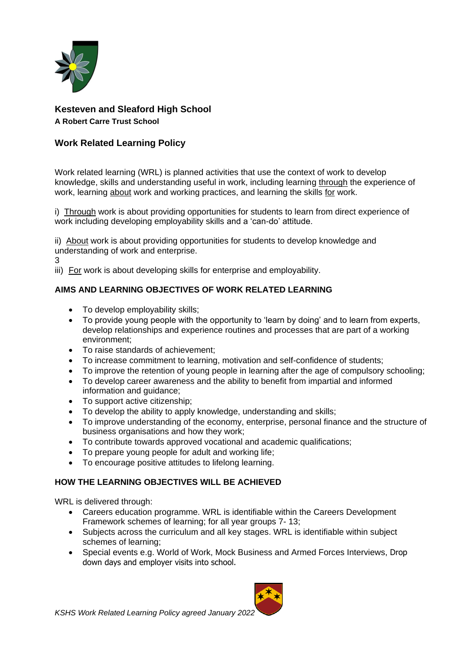

# **Kesteven and Sleaford High School**

**A Robert Carre Trust School**

## **Work Related Learning Policy**

Work related learning (WRL) is planned activities that use the context of work to develop knowledge, skills and understanding useful in work, including learning through the experience of work, learning about work and working practices, and learning the skills for work.

i) Through work is about providing opportunities for students to learn from direct experience of work including developing employability skills and a 'can-do' attitude.

ii) About work is about providing opportunities for students to develop knowledge and understanding of work and enterprise.

3

iii) For work is about developing skills for enterprise and employability.

## **AIMS AND LEARNING OBJECTIVES OF WORK RELATED LEARNING**

- To develop employability skills;
- To provide young people with the opportunity to 'learn by doing' and to learn from experts, develop relationships and experience routines and processes that are part of a working environment;
- To raise standards of achievement;
- To increase commitment to learning, motivation and self-confidence of students;
- To improve the retention of young people in learning after the age of compulsory schooling;
- To develop career awareness and the ability to benefit from impartial and informed information and guidance;
- To support active citizenship;
- To develop the ability to apply knowledge, understanding and skills;
- To improve understanding of the economy, enterprise, personal finance and the structure of business organisations and how they work;
- To contribute towards approved vocational and academic qualifications;
- To prepare young people for adult and working life;
- To encourage positive attitudes to lifelong learning.

## **HOW THE LEARNING OBJECTIVES WILL BE ACHIEVED**

WRL is delivered through:

- Careers education programme. WRL is identifiable within the Careers Development Framework schemes of learning; for all year groups 7- 13;
- Subjects across the curriculum and all key stages. WRL is identifiable within subject schemes of learning;
- Special events e.g. World of Work, Mock Business and Armed Forces Interviews, Drop down days and employer visits into school.

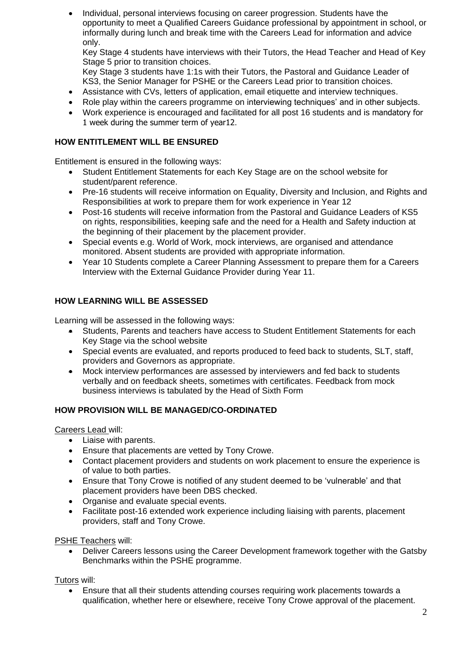• Individual, personal interviews focusing on career progression. Students have the opportunity to meet a Qualified Careers Guidance professional by appointment in school, or informally during lunch and break time with the Careers Lead for information and advice only.

Key Stage 4 students have interviews with their Tutors, the Head Teacher and Head of Key Stage 5 prior to transition choices.

Key Stage 3 students have 1:1s with their Tutors, the Pastoral and Guidance Leader of KS3, the Senior Manager for PSHE or the Careers Lead prior to transition choices.

- Assistance with CVs, letters of application, email etiquette and interview techniques.
- Role play within the careers programme on interviewing techniques' and in other subjects.
- Work experience is encouraged and facilitated for all post 16 students and is mandatory for 1 week during the summer term of year12.

## **HOW ENTITLEMENT WILL BE ENSURED**

Entitlement is ensured in the following ways:

- Student Entitlement Statements for each Key Stage are on the school website for student/parent reference.
- Pre-16 students will receive information on Equality, Diversity and Inclusion, and Rights and Responsibilities at work to prepare them for work experience in Year 12
- Post-16 students will receive information from the Pastoral and Guidance Leaders of KS5 on rights, responsibilities, keeping safe and the need for a Health and Safety induction at the beginning of their placement by the placement provider.
- Special events e.g. World of Work, mock interviews, are organised and attendance monitored. Absent students are provided with appropriate information.
- Year 10 Students complete a Career Planning Assessment to prepare them for a Careers Interview with the External Guidance Provider during Year 11.

## **HOW LEARNING WILL BE ASSESSED**

Learning will be assessed in the following ways:

- Students, Parents and teachers have access to Student Entitlement Statements for each Key Stage via the school website
- Special events are evaluated, and reports produced to feed back to students, SLT, staff, providers and Governors as appropriate.
- Mock interview performances are assessed by interviewers and fed back to students verbally and on feedback sheets, sometimes with certificates. Feedback from mock business interviews is tabulated by the Head of Sixth Form

### **HOW PROVISION WILL BE MANAGED/CO-ORDINATED**

Careers Lead will:

- Liaise with parents.
- Ensure that placements are vetted by Tony Crowe.
- Contact placement providers and students on work placement to ensure the experience is of value to both parties.
- Ensure that Tony Crowe is notified of any student deemed to be 'vulnerable' and that placement providers have been DBS checked.
- Organise and evaluate special events.
- Facilitate post-16 extended work experience including liaising with parents, placement providers, staff and Tony Crowe.

PSHE Teachers will:

• Deliver Careers lessons using the Career Development framework together with the Gatsby Benchmarks within the PSHE programme.

Tutors will:

• Ensure that all their students attending courses requiring work placements towards a qualification, whether here or elsewhere, receive Tony Crowe approval of the placement.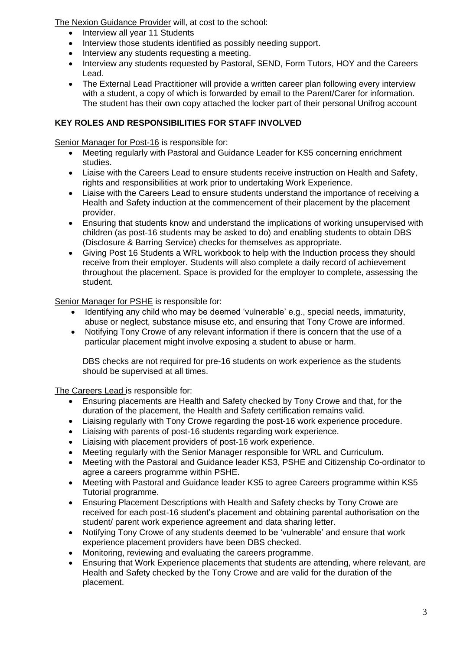The Nexion Guidance Provider will, at cost to the school:

- Interview all year 11 Students
- Interview those students identified as possibly needing support.
- Interview any students requesting a meeting.
- Interview any students requested by Pastoral, SEND, Form Tutors, HOY and the Careers Lead.
- The External Lead Practitioner will provide a written career plan following every interview with a student, a copy of which is forwarded by email to the Parent/Carer for information. The student has their own copy attached the locker part of their personal Unifrog account

## **KEY ROLES AND RESPONSIBILITIES FOR STAFF INVOLVED**

Senior Manager for Post-16 is responsible for:

- Meeting regularly with Pastoral and Guidance Leader for KS5 concerning enrichment studies.
- Liaise with the Careers Lead to ensure students receive instruction on Health and Safety, rights and responsibilities at work prior to undertaking Work Experience.
- Liaise with the Careers Lead to ensure students understand the importance of receiving a Health and Safety induction at the commencement of their placement by the placement provider.
- Ensuring that students know and understand the implications of working unsupervised with children (as post-16 students may be asked to do) and enabling students to obtain DBS (Disclosure & Barring Service) checks for themselves as appropriate.
- Giving Post 16 Students a WRL workbook to help with the Induction process they should receive from their employer. Students will also complete a daily record of achievement throughout the placement. Space is provided for the employer to complete, assessing the student.

Senior Manager for PSHE is responsible for:

- Identifying any child who may be deemed 'vulnerable' e.g., special needs, immaturity, abuse or neglect, substance misuse etc, and ensuring that Tony Crowe are informed.
- Notifying Tony Crowe of any relevant information if there is concern that the use of a particular placement might involve exposing a student to abuse or harm.

DBS checks are not required for pre-16 students on work experience as the students should be supervised at all times.

The Careers Lead is responsible for:

- Ensuring placements are Health and Safety checked by Tony Crowe and that, for the duration of the placement, the Health and Safety certification remains valid.
- Liaising regularly with Tony Crowe regarding the post-16 work experience procedure.
- Liaising with parents of post-16 students regarding work experience.
- Liaising with placement providers of post-16 work experience.
- Meeting regularly with the Senior Manager responsible for WRL and Curriculum.
- Meeting with the Pastoral and Guidance leader KS3, PSHE and Citizenship Co-ordinator to agree a careers programme within PSHE.
- Meeting with Pastoral and Guidance leader KS5 to agree Careers programme within KS5 Tutorial programme.
- Ensuring Placement Descriptions with Health and Safety checks by Tony Crowe are received for each post-16 student's placement and obtaining parental authorisation on the student/ parent work experience agreement and data sharing letter.
- Notifying Tony Crowe of any students deemed to be 'vulnerable' and ensure that work experience placement providers have been DBS checked.
- Monitoring, reviewing and evaluating the careers programme.
- Ensuring that Work Experience placements that students are attending, where relevant, are Health and Safety checked by the Tony Crowe and are valid for the duration of the placement.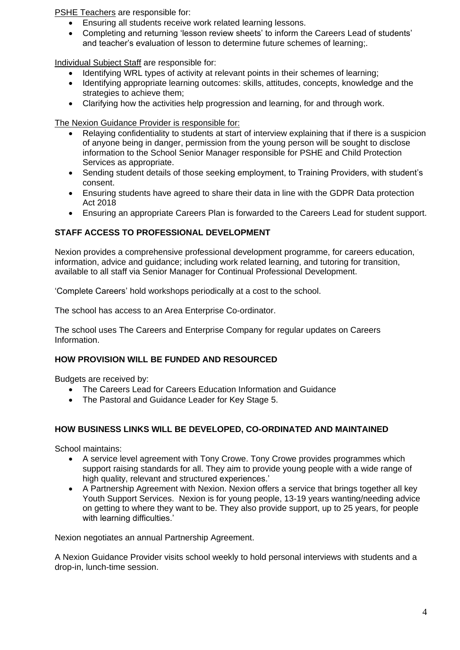PSHE Teachers are responsible for:

- Ensuring all students receive work related learning lessons.
- Completing and returning 'lesson review sheets' to inform the Careers Lead of students' and teacher's evaluation of lesson to determine future schemes of learning;.

Individual Subject Staff are responsible for:

- Identifying WRL types of activity at relevant points in their schemes of learning;
- Identifying appropriate learning outcomes: skills, attitudes, concepts, knowledge and the strategies to achieve them;
- Clarifying how the activities help progression and learning, for and through work.

The Nexion Guidance Provider is responsible for:

- Relaying confidentiality to students at start of interview explaining that if there is a suspicion of anyone being in danger, permission from the young person will be sought to disclose information to the School Senior Manager responsible for PSHE and Child Protection Services as appropriate.
- Sending student details of those seeking employment, to Training Providers, with student's consent.
- Ensuring students have agreed to share their data in line with the GDPR Data protection Act 2018
- Ensuring an appropriate Careers Plan is forwarded to the Careers Lead for student support.

## **STAFF ACCESS TO PROFESSIONAL DEVELOPMENT**

Nexion provides a comprehensive professional development programme, for careers education, information, advice and guidance; including work related learning, and tutoring for transition, available to all staff via Senior Manager for Continual Professional Development.

'Complete Careers' hold workshops periodically at a cost to the school.

The school has access to an Area Enterprise Co-ordinator.

The school uses The Careers and Enterprise Company for regular updates on Careers Information.

## **HOW PROVISION WILL BE FUNDED AND RESOURCED**

Budgets are received by:

- The Careers Lead for Careers Education Information and Guidance
- The Pastoral and Guidance Leader for Key Stage 5.

### **HOW BUSINESS LINKS WILL BE DEVELOPED, CO-ORDINATED AND MAINTAINED**

School maintains:

- A service level agreement with Tony Crowe. Tony Crowe provides programmes which support raising standards for all. They aim to provide young people with a wide range of high quality, relevant and structured experiences.'
- A Partnership Agreement with Nexion. Nexion offers a service that brings together all key Youth Support Services. Nexion is for young people, 13-19 years wanting/needing advice on getting to where they want to be. They also provide support, up to 25 years, for people with learning difficulties.'

Nexion negotiates an annual Partnership Agreement.

A Nexion Guidance Provider visits school weekly to hold personal interviews with students and a drop-in, lunch-time session.